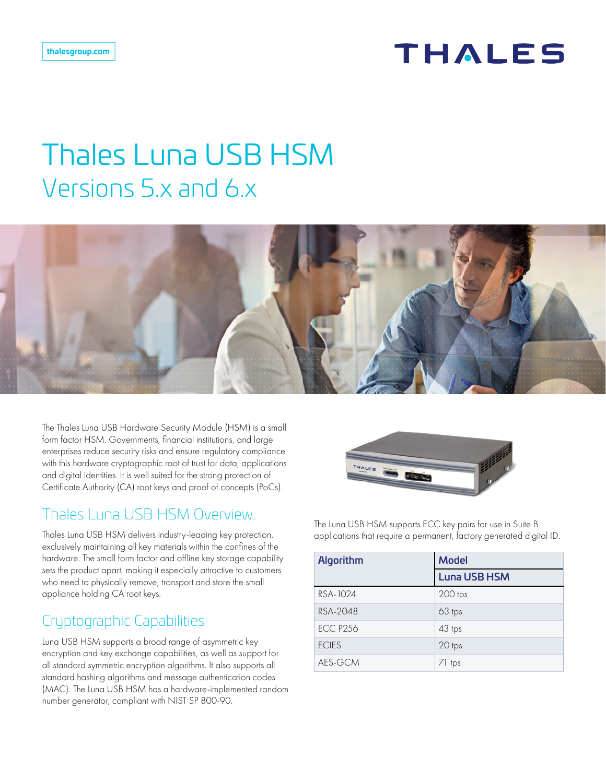# **THALES**

# Thales Luna USB HSM Versions 5.x and 6.x



The Thales Luna USB Hardware Security Module (HSM) is a small form factor HSM. Governments, financial institutions, and large enterprises reduce security risks and ensure regulatory compliance with this hardware cryptographic root of trust for data, applications and digital identities. It is well suited for the strong protection of Certificate Authority (CA) root keys and proof of concepts (PoCs).

## Thales Luna USB HSM Overview

Thales Luna USB HSM delivers industry-leading key protection, exclusively maintaining all key materials within the confines of the hardware. The small form factor and offline key storage capability sets the product apart, making it especially attractive to customers who need to physically remove, transport and store the small appliance holding CA root keys.

# Cryptographic Capabilities

Luna USB HSM supports a broad range of asymmetric key encryption and key exchange capabilities, as well as support for all standard symmetric encryption algorithms. It also supports all standard hashing algorithms and message authentication codes (MAC). The Luna USB HSM has a hardware-implemented random number generator, compliant with NIST SP 800-90.



The Luna USB HSM supports ECC key pairs for use in Suite B applications that require a permanent, factory generated digital ID.

| Algorithm       | <b>Model</b>        |
|-----------------|---------------------|
|                 | <b>Luna USB HSM</b> |
| RSA-1024        | 200 tps             |
| RSA-2048        | 63 tps              |
| <b>ECC P256</b> | 43 tps              |
| <b>ECIES</b>    | 20 tps              |
| AES-GCM         | 71 tps              |